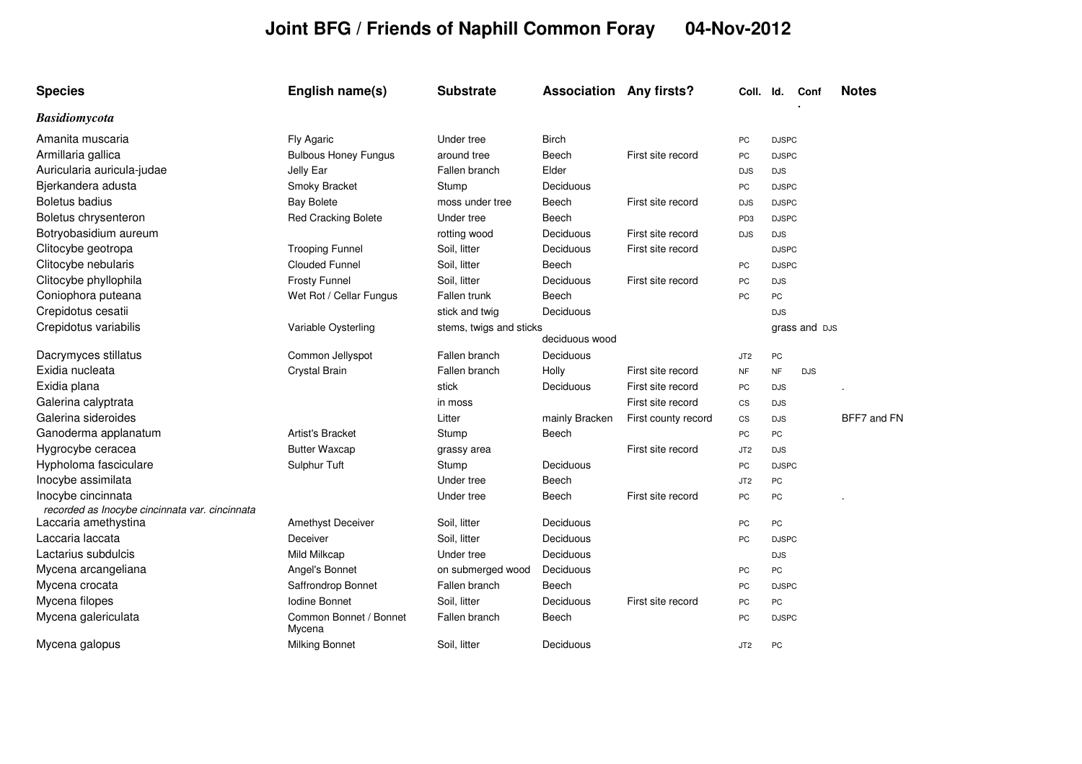## **Joint BFG / Friends of Naphill Common Foray 04-Nov-2012**

| <b>Species</b>                                                       | English name(s)                  | <b>Substrate</b>        | <b>Association Any firsts?</b> |                     | Coll. Id.                |              | Conf          | <b>Notes</b> |
|----------------------------------------------------------------------|----------------------------------|-------------------------|--------------------------------|---------------------|--------------------------|--------------|---------------|--------------|
| <b>Basidiomycota</b>                                                 |                                  |                         |                                |                     |                          |              |               |              |
| Amanita muscaria                                                     | Fly Agaric                       | Under tree              | <b>Birch</b>                   |                     | PC                       | <b>DJSPC</b> |               |              |
| Armillaria gallica                                                   | <b>Bulbous Honey Fungus</b>      | around tree             | Beech                          | First site record   | PC                       | <b>DJSPC</b> |               |              |
| Auricularia auricula-judae                                           | Jelly Ear                        | Fallen branch           | Elder                          |                     | <b>DJS</b>               | <b>DJS</b>   |               |              |
| Bjerkandera adusta                                                   | Smoky Bracket                    | Stump                   | Deciduous                      |                     | PC                       | <b>DJSPC</b> |               |              |
| <b>Boletus badius</b>                                                | <b>Bay Bolete</b>                | moss under tree         | Beech                          | First site record   | <b>DJS</b>               | <b>DJSPC</b> |               |              |
| Boletus chrysenteron                                                 | <b>Red Cracking Bolete</b>       | Under tree              | Beech                          |                     | PD <sub>3</sub>          | <b>DJSPC</b> |               |              |
| Botryobasidium aureum                                                |                                  | rotting wood            | Deciduous                      | First site record   | <b>DJS</b>               | <b>DJS</b>   |               |              |
| Clitocybe geotropa                                                   | <b>Trooping Funnel</b>           | Soil, litter            | Deciduous                      | First site record   |                          | <b>DJSPC</b> |               |              |
| Clitocybe nebularis                                                  | <b>Clouded Funnel</b>            | Soil, litter            | Beech                          |                     | PC                       | <b>DJSPC</b> |               |              |
| Clitocybe phyllophila                                                | <b>Frosty Funnel</b>             | Soil, litter            | Deciduous                      | First site record   | PC                       | <b>DJS</b>   |               |              |
| Coniophora puteana                                                   | Wet Rot / Cellar Fungus          | Fallen trunk            | Beech                          |                     | PC                       | PC           |               |              |
| Crepidotus cesatii                                                   |                                  | stick and twig          | Deciduous                      |                     |                          | <b>DJS</b>   |               |              |
| Crepidotus variabilis                                                | Variable Oysterling              | stems, twigs and sticks | deciduous wood                 |                     |                          |              | grass and DJS |              |
| Dacrymyces stillatus                                                 | Common Jellyspot                 | Fallen branch           | Deciduous                      |                     | JT <sub>2</sub>          | PC           |               |              |
| Exidia nucleata                                                      | Crystal Brain                    | Fallen branch           | Holly                          | First site record   | <b>NF</b>                | <b>NF</b>    | <b>DJS</b>    |              |
| Exidia plana                                                         |                                  | stick                   | Deciduous                      | First site record   | PC                       | <b>DJS</b>   |               |              |
| Galerina calyptrata                                                  |                                  | in moss                 |                                | First site record   | $\mathsf{CS}\phantom{0}$ | <b>DJS</b>   |               |              |
| Galerina sideroides                                                  |                                  | Litter                  | mainly Bracken                 | First county record | $\mathsf{CS}\phantom{0}$ | <b>DJS</b>   |               | BFF7 and FN  |
| Ganoderma applanatum                                                 | <b>Artist's Bracket</b>          | Stump                   | Beech                          |                     | PC                       | PC           |               |              |
| Hygrocybe ceracea                                                    | <b>Butter Waxcap</b>             | grassy area             |                                | First site record   | JT <sub>2</sub>          | <b>DJS</b>   |               |              |
| Hypholoma fasciculare                                                | Sulphur Tuft                     | Stump                   | Deciduous                      |                     | PC                       | <b>DJSPC</b> |               |              |
| Inocybe assimilata                                                   |                                  | Under tree              | Beech                          |                     | JT <sub>2</sub>          | PC           |               |              |
| Inocybe cincinnata<br>recorded as Inocybe cincinnata var. cincinnata |                                  | Under tree              | Beech                          | First site record   | <b>PC</b>                | <b>PC</b>    |               |              |
| Laccaria amethystina                                                 | <b>Amethyst Deceiver</b>         | Soil, litter            | Deciduous                      |                     | PC                       | PC           |               |              |
| Laccaria laccata                                                     | Deceiver                         | Soil, litter            | Deciduous                      |                     | PC                       | <b>DJSPC</b> |               |              |
| Lactarius subdulcis                                                  | Mild Milkcap                     | Under tree              | Deciduous                      |                     |                          | <b>DJS</b>   |               |              |
| Mycena arcangeliana                                                  | Angel's Bonnet                   | on submerged wood       | Deciduous                      |                     | PC                       | PC           |               |              |
| Mycena crocata                                                       | Saffrondrop Bonnet               | Fallen branch           | Beech                          |                     | PC                       | <b>DJSPC</b> |               |              |
| Mycena filopes                                                       | Iodine Bonnet                    | Soil, litter            | Deciduous                      | First site record   | PC                       | PC           |               |              |
| Mycena galericulata                                                  | Common Bonnet / Bonnet<br>Mycena | Fallen branch           | Beech                          |                     | PC                       | <b>DJSPC</b> |               |              |
| Mycena galopus                                                       | <b>Milking Bonnet</b>            | Soil, litter            | Deciduous                      |                     | JT <sub>2</sub>          | PC           |               |              |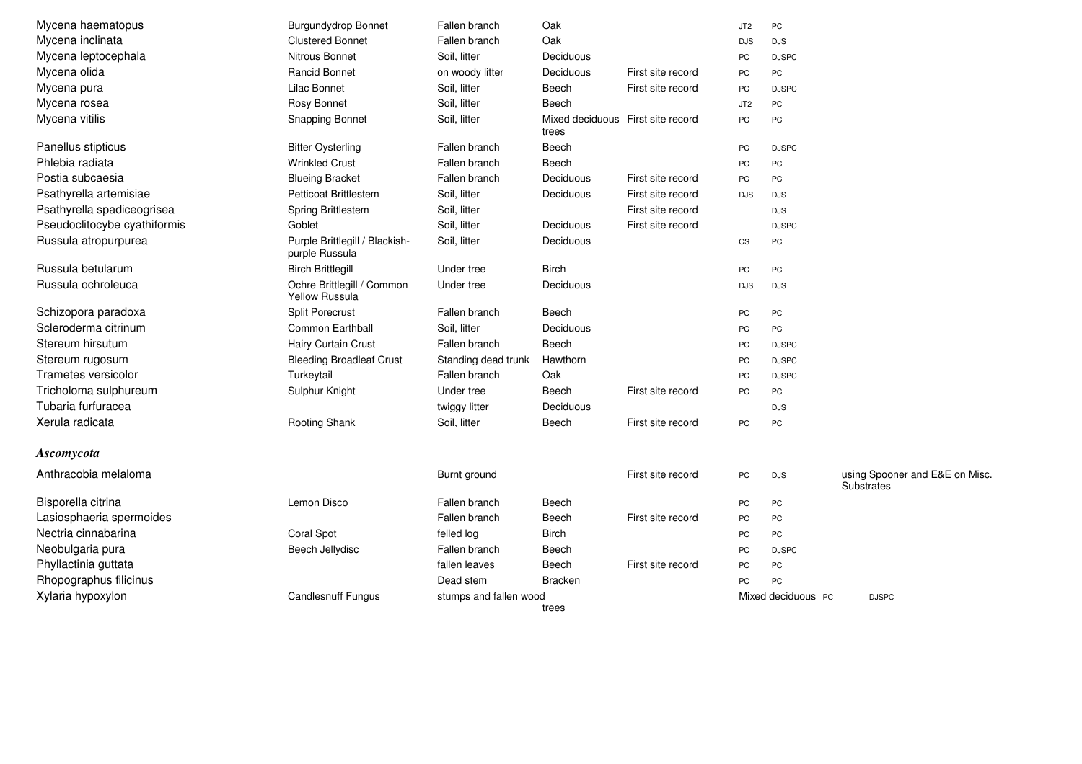| Mycena haematopus            | <b>Burgundydrop Bonnet</b>                          | Fallen branch          | Oak                                        |                   | JT <sub>2</sub>        | PC                 |                                                     |
|------------------------------|-----------------------------------------------------|------------------------|--------------------------------------------|-------------------|------------------------|--------------------|-----------------------------------------------------|
| Mycena inclinata             | <b>Clustered Bonnet</b>                             | Fallen branch          | Oak                                        |                   | <b>DJS</b>             | <b>DJS</b>         |                                                     |
| Mycena leptocephala          | Nitrous Bonnet                                      | Soil. litter           | Deciduous                                  |                   | <b>PC</b>              | <b>DJSPC</b>       |                                                     |
| Mycena olida                 | Rancid Bonnet                                       | on woody litter        | Deciduous                                  | First site record | PC                     | PC                 |                                                     |
| Mycena pura                  | Lilac Bonnet                                        | Soil, litter           | Beech                                      | First site record | PC                     | <b>DJSPC</b>       |                                                     |
| Mycena rosea                 | Rosy Bonnet                                         | Soil, litter           | Beech                                      |                   | JT <sub>2</sub>        | PC                 |                                                     |
| Mycena vitilis               | <b>Snapping Bonnet</b>                              | Soil, litter           | Mixed deciduous First site record<br>trees |                   | <b>PC</b>              | PC                 |                                                     |
| Panellus stipticus           | <b>Bitter Oysterling</b>                            | Fallen branch          | Beech                                      |                   | PC                     | <b>DJSPC</b>       |                                                     |
| Phlebia radiata              | <b>Wrinkled Crust</b>                               | Fallen branch          | Beech                                      |                   | PC                     | PC                 |                                                     |
| Postia subcaesia             | <b>Blueing Bracket</b>                              | Fallen branch          | Deciduous                                  | First site record | PC                     | PC                 |                                                     |
| Psathyrella artemisiae       | <b>Petticoat Brittlestem</b>                        | Soil, litter           | Deciduous                                  | First site record | <b>DJS</b>             | <b>DJS</b>         |                                                     |
| Psathyrella spadiceogrisea   | Spring Brittlestem                                  | Soil, litter           |                                            | First site record |                        | <b>DJS</b>         |                                                     |
| Pseudoclitocybe cyathiformis | Goblet                                              | Soil, litter           | Deciduous                                  | First site record |                        | <b>DJSPC</b>       |                                                     |
| Russula atropurpurea         | Purple Brittlegill / Blackish-<br>purple Russula    | Soil, litter           | Deciduous                                  |                   | $\mathbb{C}\mathbb{S}$ | PC                 |                                                     |
| Russula betularum            | <b>Birch Brittlegill</b>                            | Under tree             | <b>Birch</b>                               |                   | PC                     | PC                 |                                                     |
| Russula ochroleuca           | Ochre Brittlegill / Common<br><b>Yellow Russula</b> | Under tree             | Deciduous                                  |                   | <b>DJS</b>             | <b>DJS</b>         |                                                     |
| Schizopora paradoxa          | <b>Split Porecrust</b>                              | Fallen branch          | Beech                                      |                   | PC                     | PC                 |                                                     |
| Scleroderma citrinum         | Common Earthball                                    | Soil, litter           | Deciduous                                  |                   | PC                     | PC                 |                                                     |
| Stereum hirsutum             | Hairy Curtain Crust                                 | Fallen branch          | Beech                                      |                   | PC                     | <b>DJSPC</b>       |                                                     |
| Stereum rugosum              | <b>Bleeding Broadleaf Crust</b>                     | Standing dead trunk    | Hawthorn                                   |                   | <b>PC</b>              | <b>DJSPC</b>       |                                                     |
| Trametes versicolor          | Turkeytail                                          | Fallen branch          | Oak                                        |                   | <b>PC</b>              | <b>DJSPC</b>       |                                                     |
| Tricholoma sulphureum        | Sulphur Knight                                      | Under tree             | Beech                                      | First site record | <b>PC</b>              | PC                 |                                                     |
| Tubaria furfuracea           |                                                     | twiggy litter          | Deciduous                                  |                   |                        | <b>DJS</b>         |                                                     |
| Xerula radicata              | Rooting Shank                                       | Soil, litter           | Beech                                      | First site record | <b>PC</b>              | PC                 |                                                     |
| Ascomycota                   |                                                     |                        |                                            |                   |                        |                    |                                                     |
| Anthracobia melaloma         |                                                     | Burnt ground           |                                            | First site record | PC                     | <b>DJS</b>         | using Spooner and E&E on Misc.<br><b>Substrates</b> |
| Bisporella citrina           | Lemon Disco                                         | Fallen branch          | Beech                                      |                   | PC                     | PC                 |                                                     |
| Lasiosphaeria spermoides     |                                                     | Fallen branch          | Beech                                      | First site record | PC                     | PC                 |                                                     |
| Nectria cinnabarina          | Coral Spot                                          | felled log             | <b>Birch</b>                               |                   | PC                     | PC                 |                                                     |
| Neobulgaria pura             | Beech Jellydisc                                     | Fallen branch          | Beech                                      |                   | PC                     | <b>DJSPC</b>       |                                                     |
| Phyllactinia guttata         |                                                     | fallen leaves          | Beech                                      | First site record | PC                     | PC                 |                                                     |
| Rhopographus filicinus       |                                                     | Dead stem              | <b>Bracken</b>                             |                   | PC                     | PC                 |                                                     |
| Xylaria hypoxylon            | <b>Candlesnuff Fungus</b>                           | stumps and fallen wood | trees                                      |                   |                        | Mixed deciduous PC | <b>DJSPC</b>                                        |